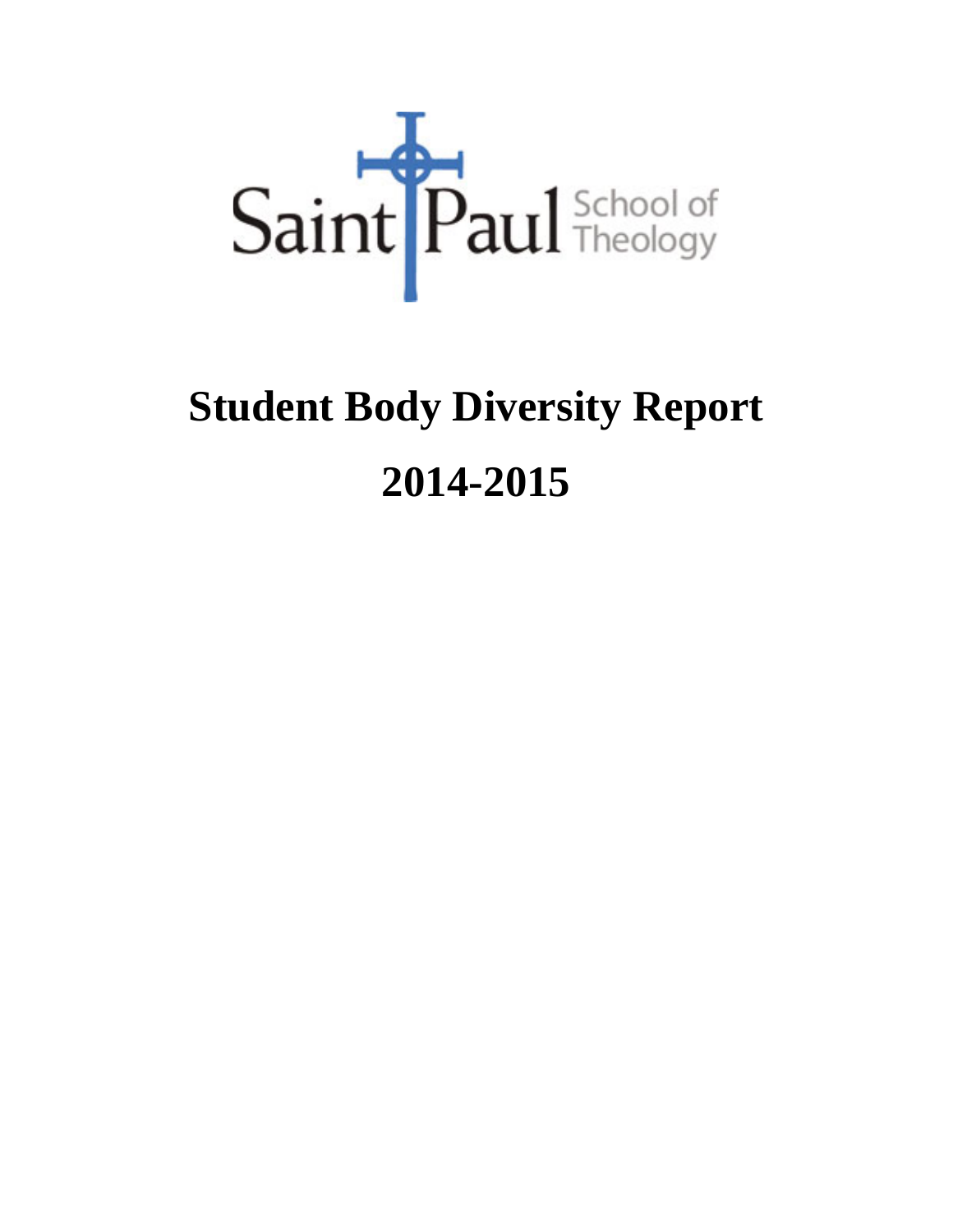

# **Student Body Diversity Report 2014-2015**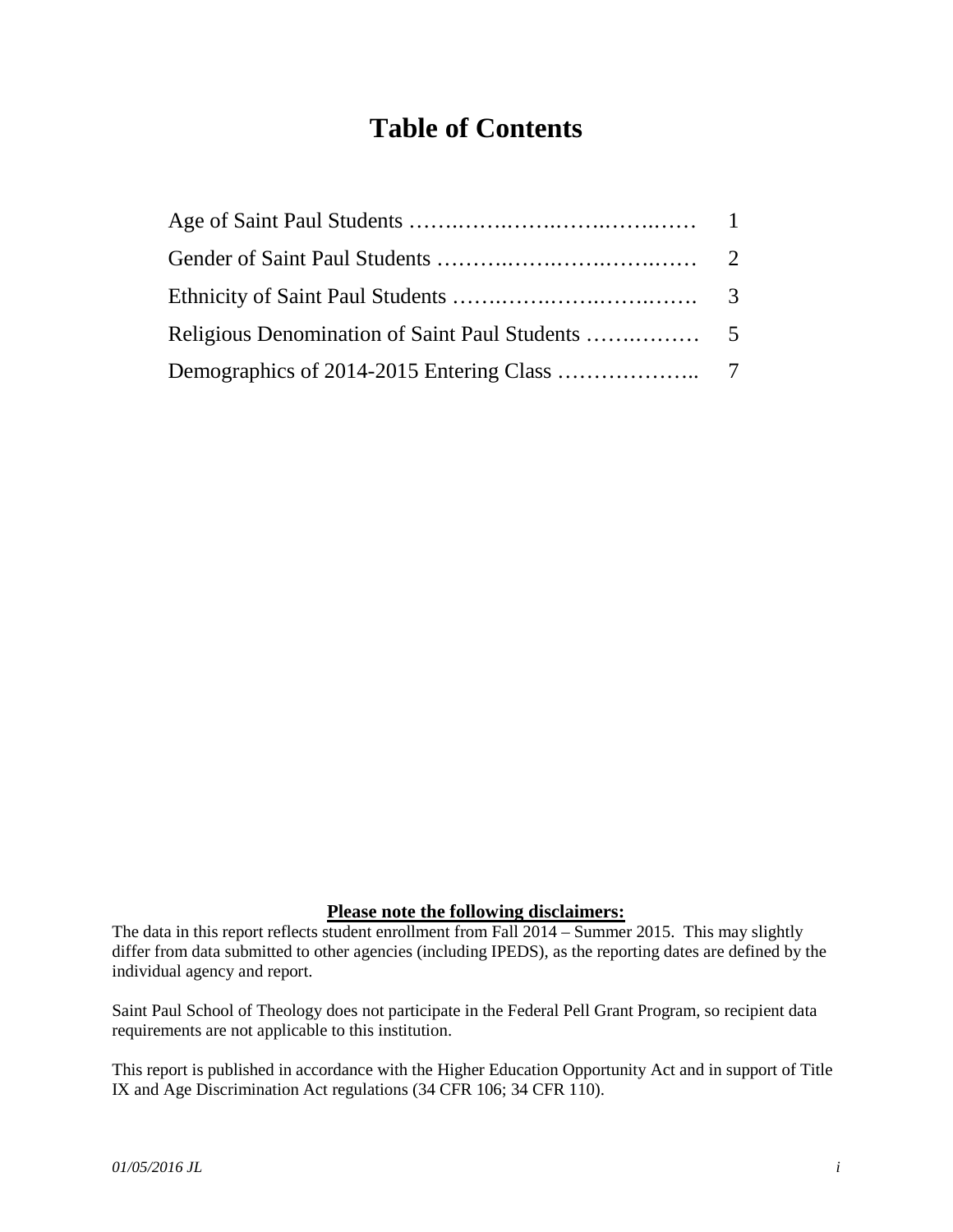#### **Table of Contents**

#### **Please note the following disclaimers:**

The data in this report reflects student enrollment from Fall 2014 – Summer 2015. This may slightly differ from data submitted to other agencies (including IPEDS), as the reporting dates are defined by the individual agency and report.

Saint Paul School of Theology does not participate in the Federal Pell Grant Program, so recipient data requirements are not applicable to this institution.

This report is published in accordance with the Higher Education Opportunity Act and in support of Title IX and Age Discrimination Act regulations (34 CFR 106; 34 CFR 110).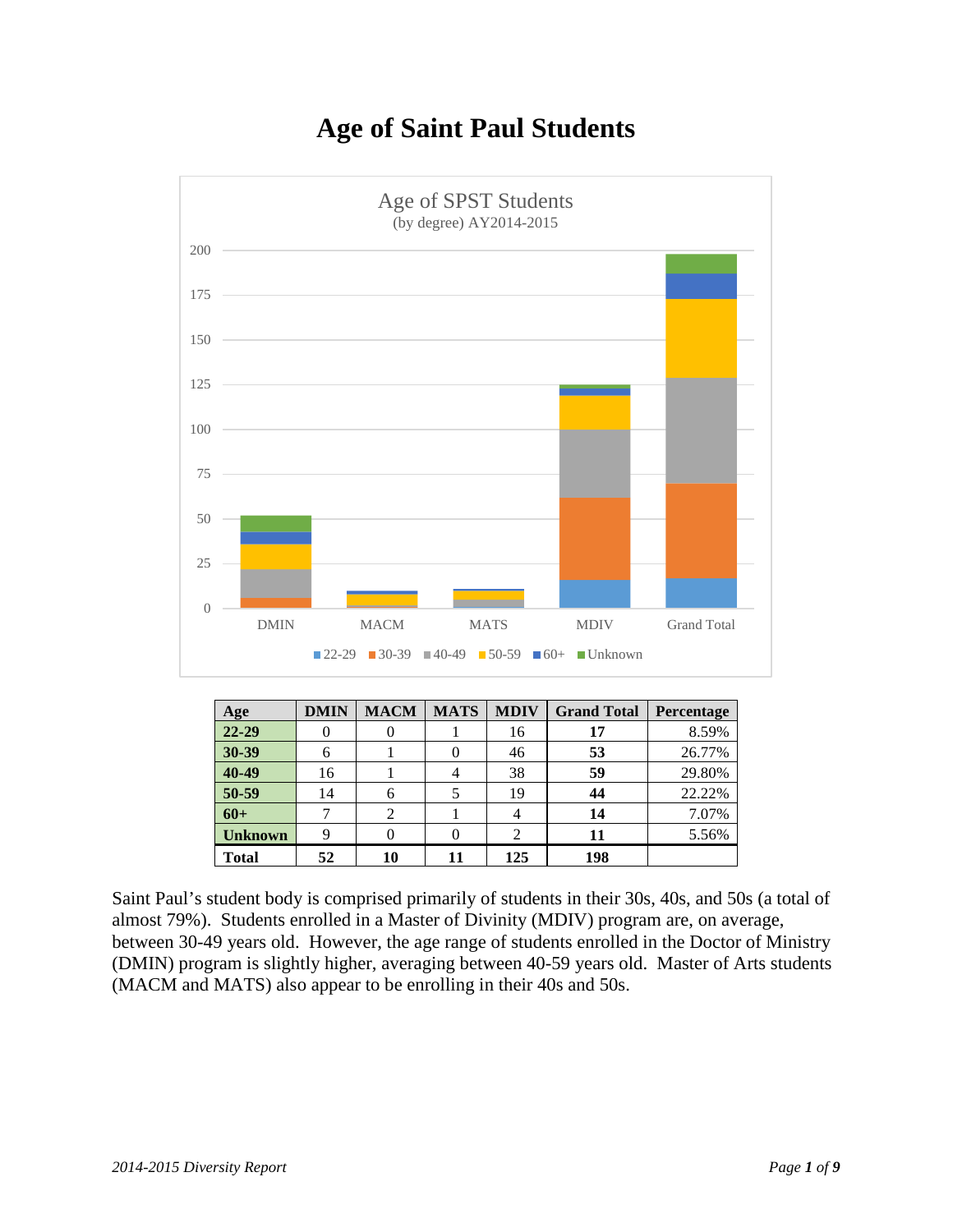



| Age            | <b>DMIN</b> | <b>MACM</b> | <b>MATS</b> | <b>MDIV</b> | <b>Grand Total</b> | <b>Percentage</b> |
|----------------|-------------|-------------|-------------|-------------|--------------------|-------------------|
| 22-29          |             |             |             | 16          | 17                 | 8.59%             |
| 30-39          | 6           |             |             | 46          | 53                 | 26.77%            |
| 40-49          | 16          |             | 4           | 38          | 59                 | 29.80%            |
| 50-59          | 14          |             |             | 19          | 44                 | 22.22%            |
| $60+$          |             |             |             |             | 14                 | 7.07%             |
| <b>Unknown</b> | 9           |             |             |             | 11                 | 5.56%             |
| <b>Total</b>   | 52          | 10          | 11          | 125         | 198                |                   |

Saint Paul's student body is comprised primarily of students in their 30s, 40s, and 50s (a total of almost 79%). Students enrolled in a Master of Divinity (MDIV) program are, on average, between 30-49 years old. However, the age range of students enrolled in the Doctor of Ministry (DMIN) program is slightly higher, averaging between 40-59 years old. Master of Arts students (MACM and MATS) also appear to be enrolling in their 40s and 50s.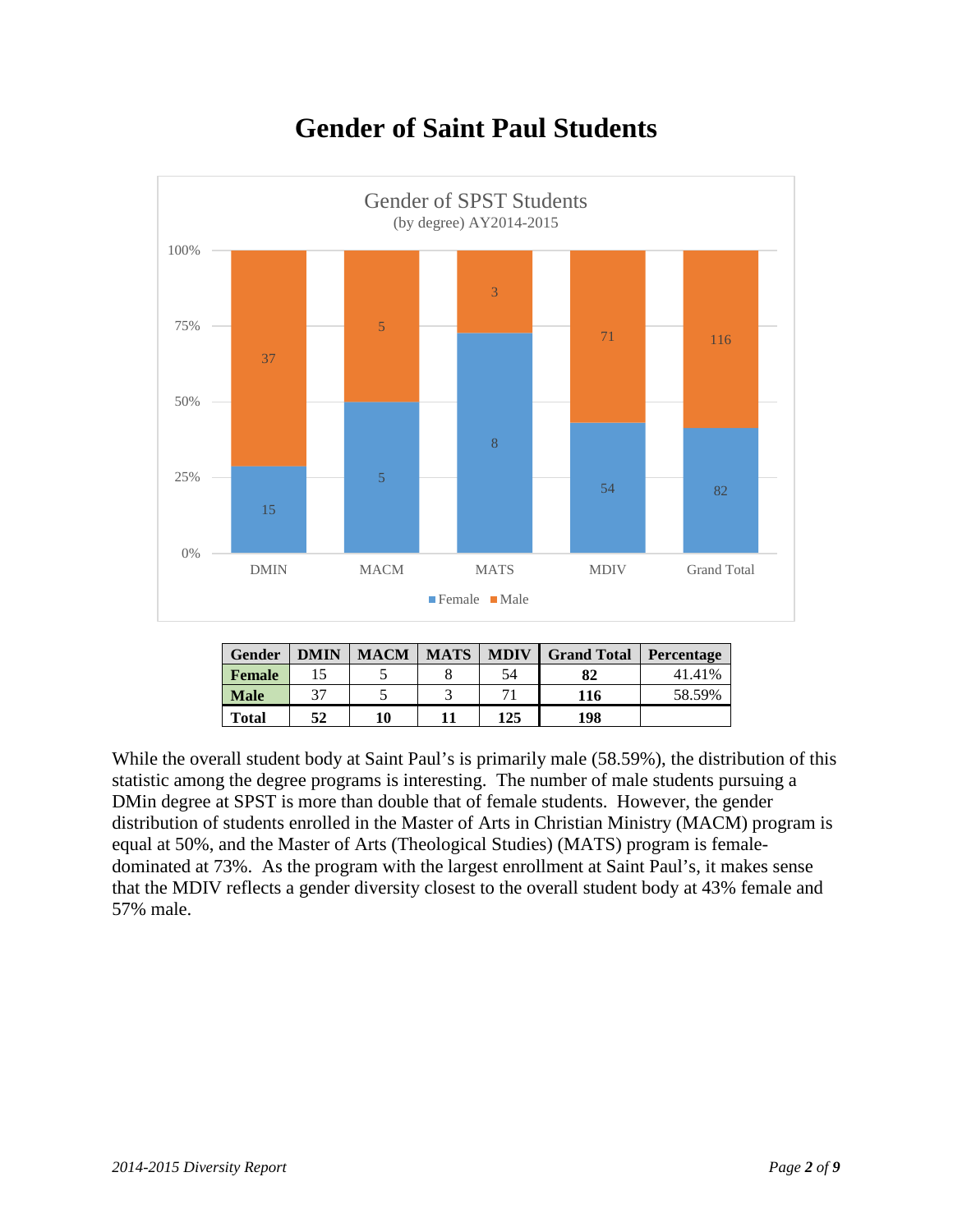

## **Gender of Saint Paul Students**

| <b>Gender</b> | <b>DMIN</b> | <b>MACM</b> | <b>MATS</b> | <b>MDIV</b> | <b>Grand Total</b> | Percentage |
|---------------|-------------|-------------|-------------|-------------|--------------------|------------|
| <b>Female</b> |             |             |             | 54          | 82                 | 41.41%     |
| <b>Male</b>   | 37          |             |             |             | 116                | 58.59%     |
| <b>Total</b>  | 52          | 10          |             | 125         | 198                |            |

While the overall student body at Saint Paul's is primarily male (58.59%), the distribution of this statistic among the degree programs is interesting. The number of male students pursuing a DMin degree at SPST is more than double that of female students. However, the gender distribution of students enrolled in the Master of Arts in Christian Ministry (MACM) program is equal at 50%, and the Master of Arts (Theological Studies) (MATS) program is femaledominated at 73%. As the program with the largest enrollment at Saint Paul's, it makes sense that the MDIV reflects a gender diversity closest to the overall student body at 43% female and 57% male.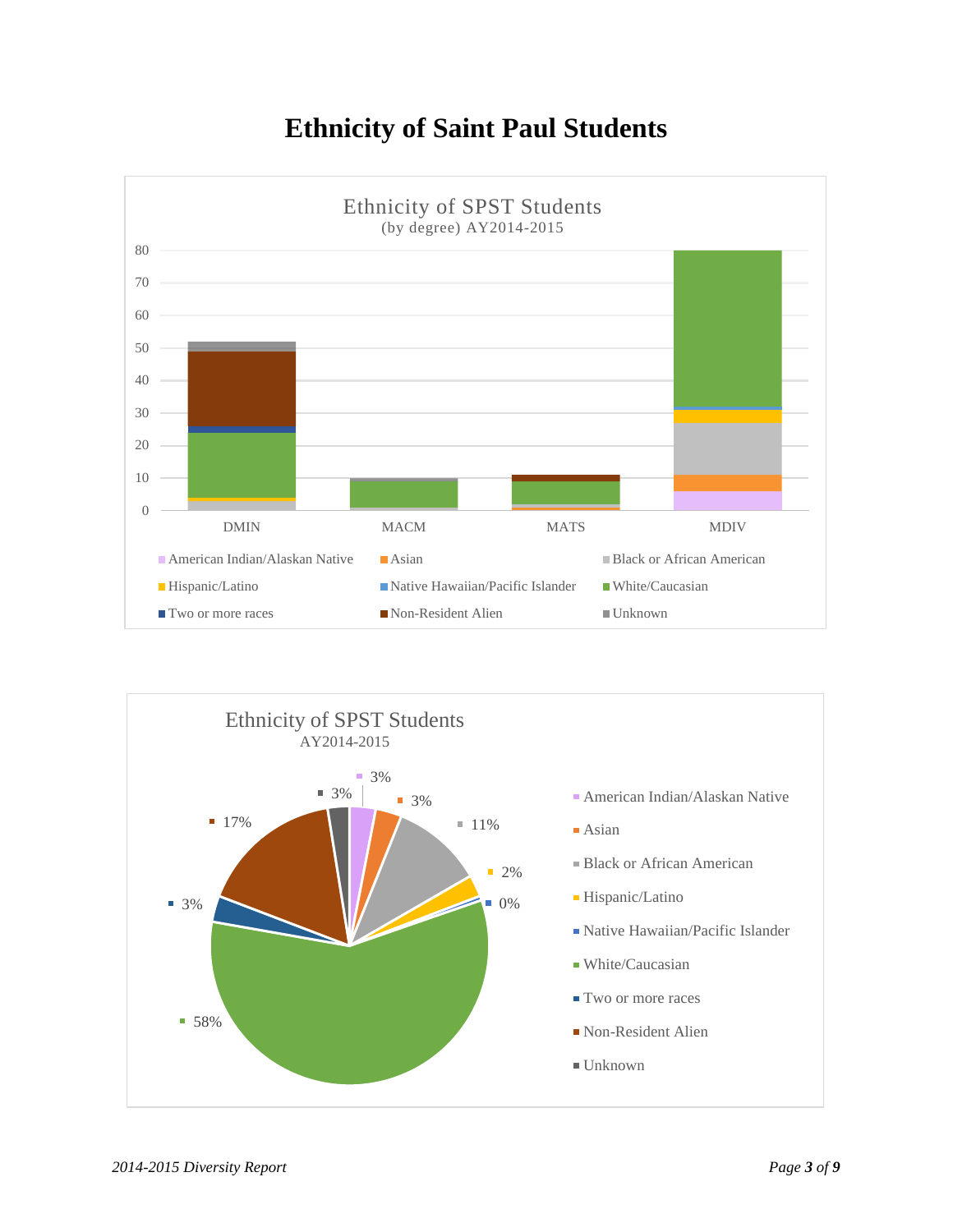### **Ethnicity of Saint Paul Students**



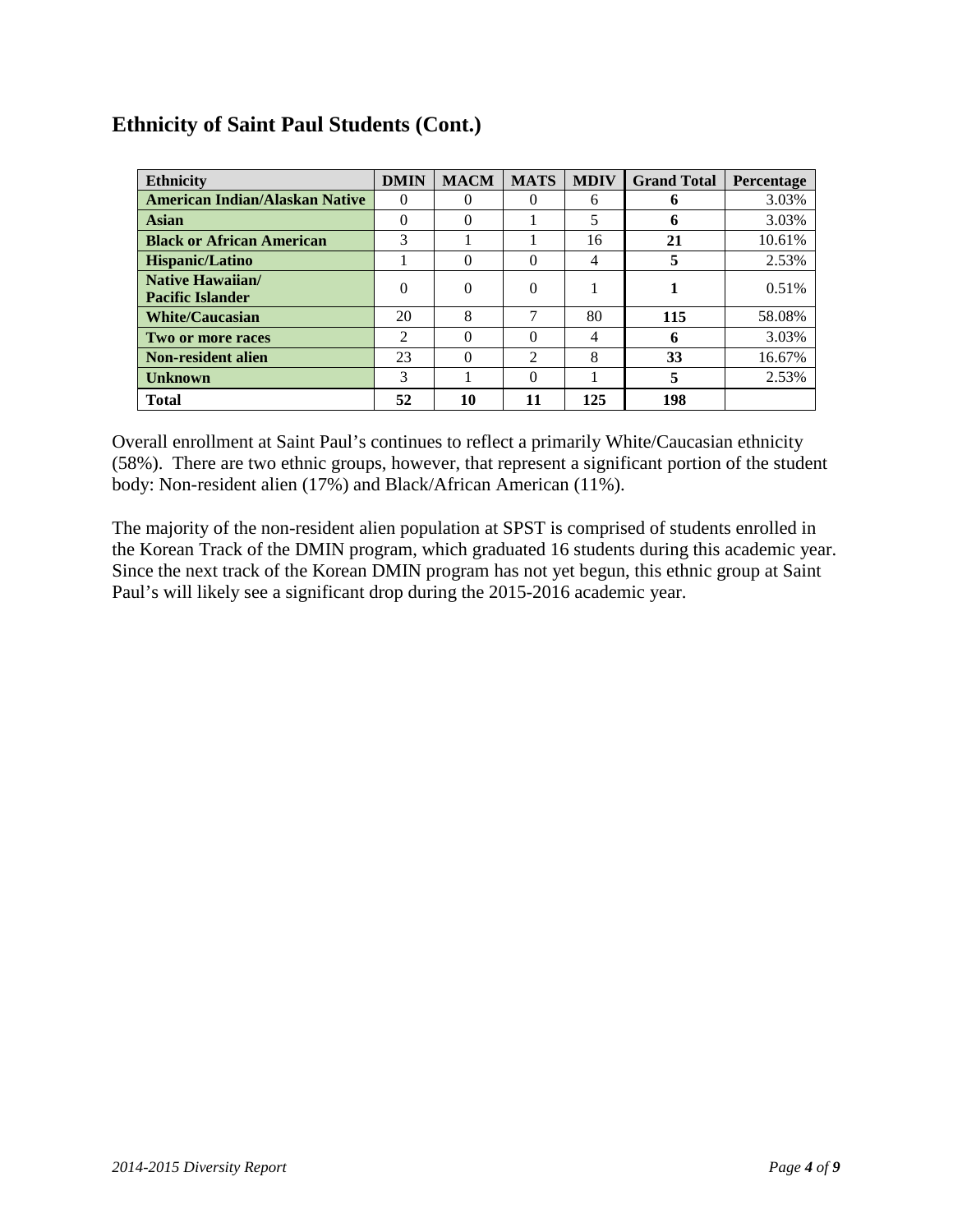#### **Ethnicity of Saint Paul Students (Cont.)**

| <b>Ethnicity</b>                                   | <b>DMIN</b>    | <b>MACM</b> | <b>MATS</b>    | <b>MDIV</b> | <b>Grand Total</b> | <b>Percentage</b> |
|----------------------------------------------------|----------------|-------------|----------------|-------------|--------------------|-------------------|
| <b>American Indian/Alaskan Native</b>              | 0              | 0           | 0              | 6           | 6                  | 3.03%             |
| <b>Asian</b>                                       | 0              | 0           |                | 5           | h                  | 3.03%             |
| <b>Black or African American</b>                   | 3              |             |                | 16          | 21                 | 10.61%            |
| Hispanic/Latino                                    |                | 0           | 0              | 4           |                    | 2.53%             |
| <b>Native Hawaiian/</b><br><b>Pacific Islander</b> | $\theta$       | 0           | $\Omega$       |             |                    | 0.51%             |
| <b>White/Caucasian</b>                             | 20             | 8           | 7              | 80          | 115                | 58.08%            |
| Two or more races                                  | $\mathfrak{D}$ | 0           | 0              | 4           | 6                  | 3.03%             |
| <b>Non-resident alien</b>                          | 23             | 0           | $\mathfrak{D}$ | 8           | 33                 | 16.67%            |
| <b>Unknown</b>                                     | 3              |             | 0              |             |                    | 2.53%             |
| <b>Total</b>                                       | 52             | 10          | 11             | 125         | 198                |                   |

Overall enrollment at Saint Paul's continues to reflect a primarily White/Caucasian ethnicity (58%). There are two ethnic groups, however, that represent a significant portion of the student body: Non-resident alien (17%) and Black/African American (11%).

The majority of the non-resident alien population at SPST is comprised of students enrolled in the Korean Track of the DMIN program, which graduated 16 students during this academic year. Since the next track of the Korean DMIN program has not yet begun, this ethnic group at Saint Paul's will likely see a significant drop during the 2015-2016 academic year.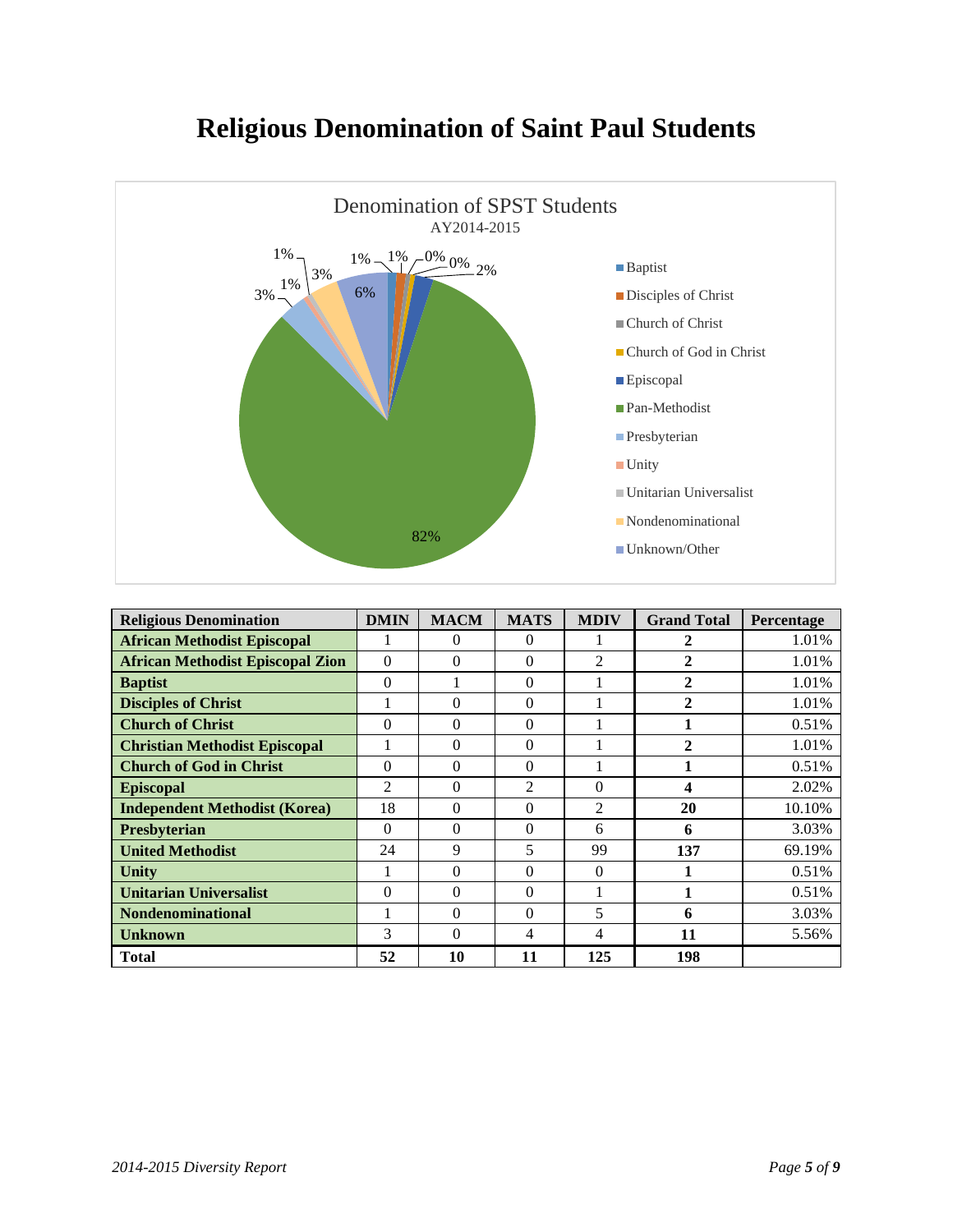



| <b>Religious Denomination</b>           | <b>DMIN</b>    | <b>MACM</b> | <b>MATS</b> | <b>MDIV</b>    | <b>Grand Total</b> | Percentage |
|-----------------------------------------|----------------|-------------|-------------|----------------|--------------------|------------|
| <b>African Methodist Episcopal</b>      |                | 0           | 0           |                |                    | 1.01%      |
| <b>African Methodist Episcopal Zion</b> | $\Omega$       | $\Omega$    | $\Omega$    | $\mathfrak{D}$ | $\mathbf{2}$       | 1.01%      |
| <b>Baptist</b>                          | $\Omega$       |             | $\Omega$    |                | 2                  | 1.01%      |
| <b>Disciples of Christ</b>              |                | $\Omega$    | $\Omega$    |                | 2                  | 1.01%      |
| <b>Church of Christ</b>                 | $\Omega$       | $\Omega$    | $\Omega$    |                |                    | 0.51%      |
| <b>Christian Methodist Episcopal</b>    |                | $\Omega$    | $\Omega$    |                | 2                  | 1.01%      |
| <b>Church of God in Christ</b>          | $\Omega$       | $\Omega$    | $\Omega$    |                |                    | 0.51%      |
| <b>Episcopal</b>                        | $\overline{2}$ | $\Omega$    | 2           | $\Omega$       | 4                  | 2.02%      |
| <b>Independent Methodist (Korea)</b>    | 18             | $\Omega$    | $\Omega$    | $\overline{2}$ | 20                 | 10.10%     |
| <b>Presbyterian</b>                     | $\Omega$       | $\Omega$    | $\Omega$    | 6              | 6                  | 3.03%      |
| <b>United Methodist</b>                 | 24             | 9           | 5           | 99             | 137                | 69.19%     |
| Unity                                   |                | $\Omega$    | $\Omega$    | $\Omega$       |                    | 0.51%      |
| <b>Unitarian Universalist</b>           | $\Omega$       | $\Omega$    | $\Omega$    |                |                    | 0.51%      |
| <b>Nondenominational</b>                | 1              | $\Omega$    | $\Omega$    | 5              | 6                  | 3.03%      |
| <b>Unknown</b>                          | 3              | $\Omega$    | 4           | 4              | 11                 | 5.56%      |
| <b>Total</b>                            | 52             | 10          | 11          | 125            | 198                |            |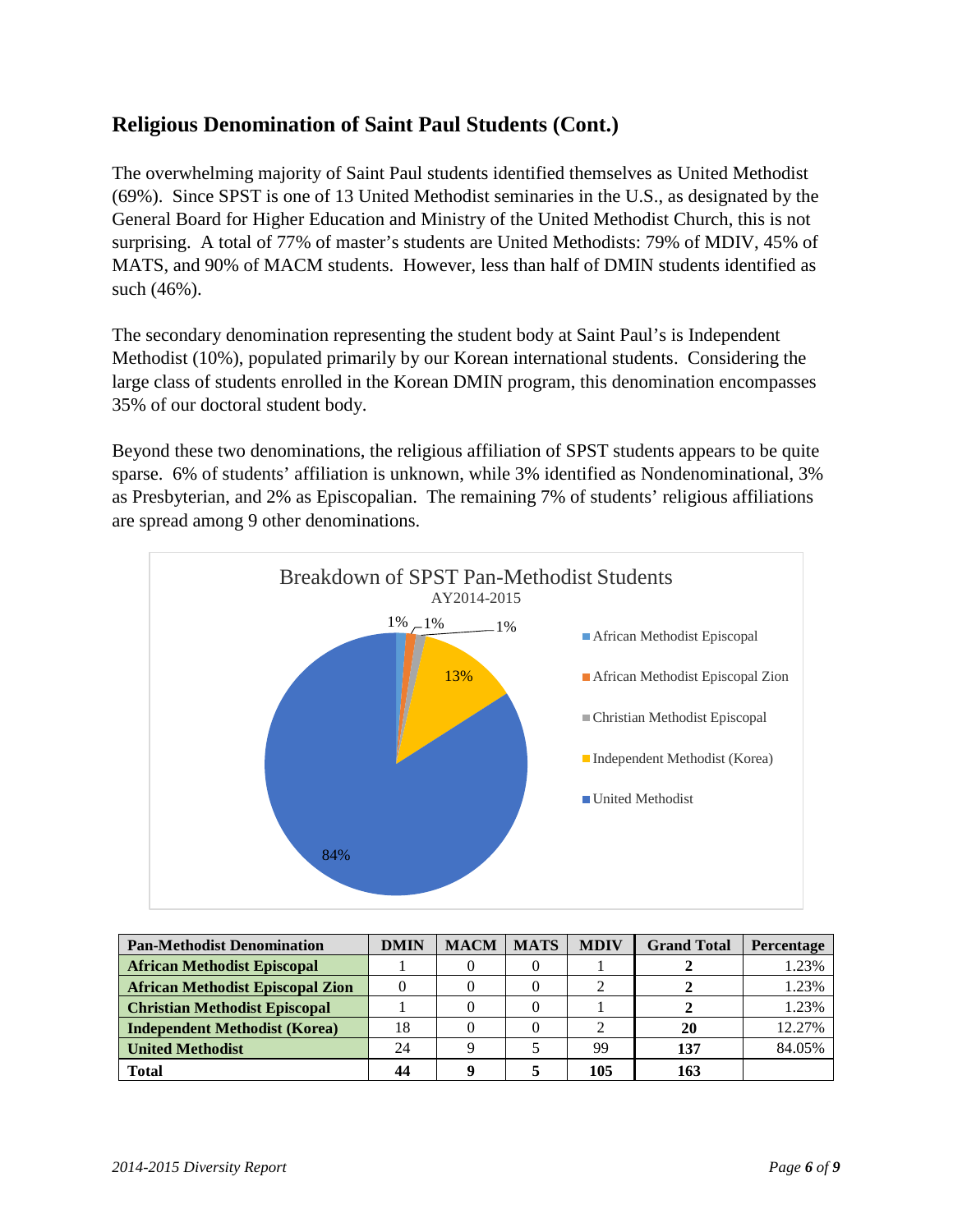#### **Religious Denomination of Saint Paul Students (Cont.)**

The overwhelming majority of Saint Paul students identified themselves as United Methodist (69%). Since SPST is one of 13 United Methodist seminaries in the U.S., as designated by the General Board for Higher Education and Ministry of the United Methodist Church, this is not surprising. A total of 77% of master's students are United Methodists: 79% of MDIV, 45% of MATS, and 90% of MACM students. However, less than half of DMIN students identified as such (46%).

The secondary denomination representing the student body at Saint Paul's is Independent Methodist (10%), populated primarily by our Korean international students. Considering the large class of students enrolled in the Korean DMIN program, this denomination encompasses 35% of our doctoral student body.

Beyond these two denominations, the religious affiliation of SPST students appears to be quite sparse. 6% of students' affiliation is unknown, while 3% identified as Nondenominational, 3% as Presbyterian, and 2% as Episcopalian. The remaining 7% of students' religious affiliations are spread among 9 other denominations.



| <b>Pan-Methodist Denomination</b>       | <b>DMIN</b> | <b>MACM</b> | <b>MATS</b> | <b>MDIV</b> | <b>Grand Total</b> | Percentage |
|-----------------------------------------|-------------|-------------|-------------|-------------|--------------------|------------|
| <b>African Methodist Episcopal</b>      |             |             |             |             |                    | 1.23%      |
| <b>African Methodist Episcopal Zion</b> |             |             |             |             |                    | 1.23%      |
| <b>Christian Methodist Episcopal</b>    |             |             |             |             |                    | 1.23%      |
| <b>Independent Methodist (Korea)</b>    | 18          |             |             |             | 20                 | 12.27%     |
| <b>United Methodist</b>                 | 24          |             |             | 99          | 137                | 84.05%     |
| <b>Total</b>                            | 44          |             |             | 105         | 163                |            |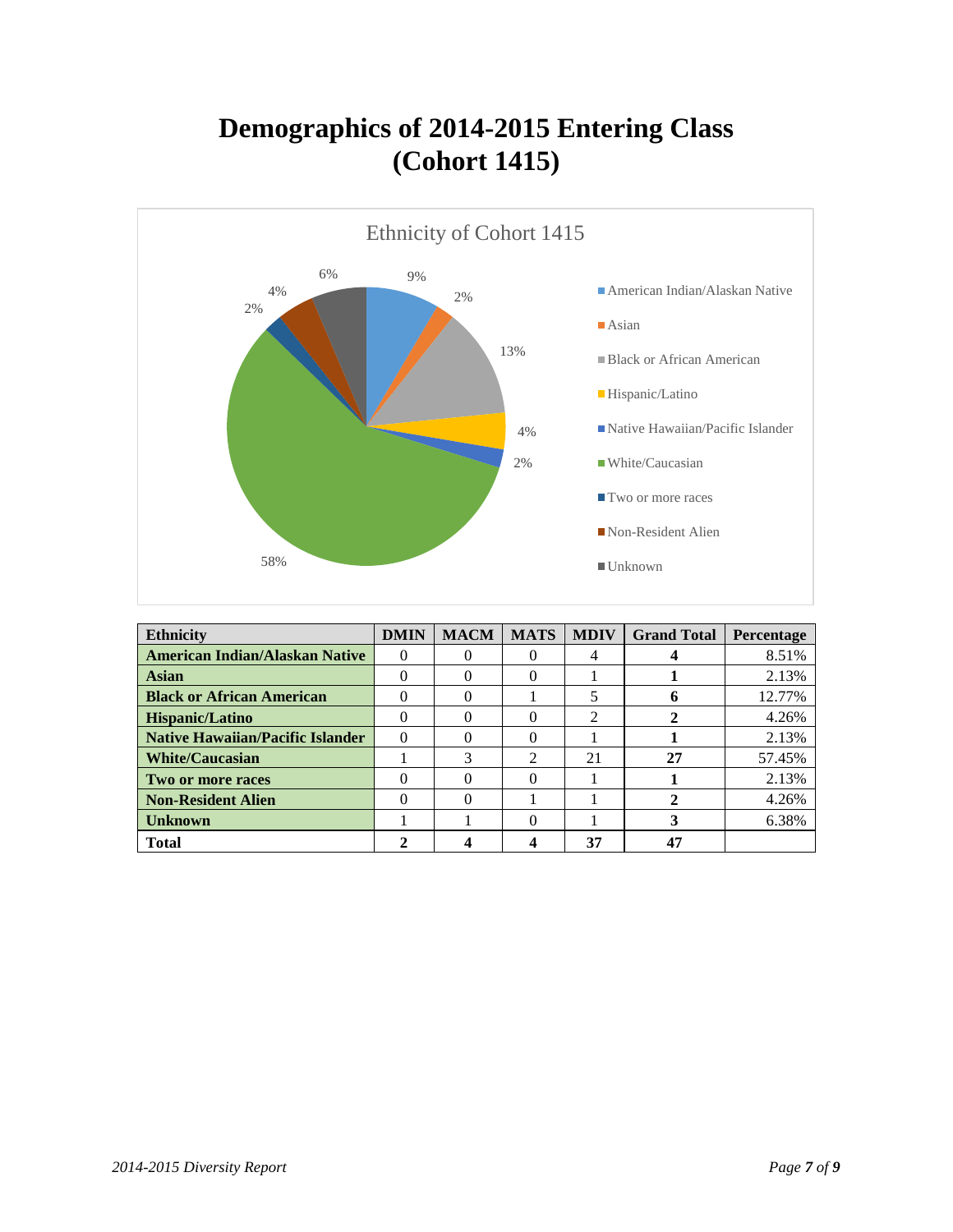## **Demographics of 2014-2015 Entering Class (Cohort 1415)**



| <b>Ethnicity</b>                        | <b>DMIN</b>  | <b>MACM</b> | <b>MATS</b>    | <b>MDIV</b> | <b>Grand Total</b> | Percentage |
|-----------------------------------------|--------------|-------------|----------------|-------------|--------------------|------------|
| <b>American Indian/Alaskan Native</b>   | $\Omega$     |             |                | 4           |                    | 8.51%      |
| <b>Asian</b>                            |              | 0           | 0              |             |                    | 2.13%      |
| <b>Black or African American</b>        | 0            | $\theta$    |                |             |                    | 12.77%     |
| Hispanic/Latino                         |              | 0           |                | 2           |                    | 4.26%      |
| <b>Native Hawaiian/Pacific Islander</b> | $\Omega$     | 0           |                |             |                    | 2.13%      |
| <b>White/Caucasian</b>                  |              | 3           | $\mathfrak{D}$ | 21          | 27                 | 57.45%     |
| Two or more races                       | 0            | 0           | 0              |             |                    | 2.13%      |
| <b>Non-Resident Alien</b>               | $\mathbf{0}$ | 0           |                |             |                    | 4.26%      |
| <b>Unknown</b>                          |              |             |                |             |                    | 6.38%      |
| <b>Total</b>                            |              |             |                | 37          | 47                 |            |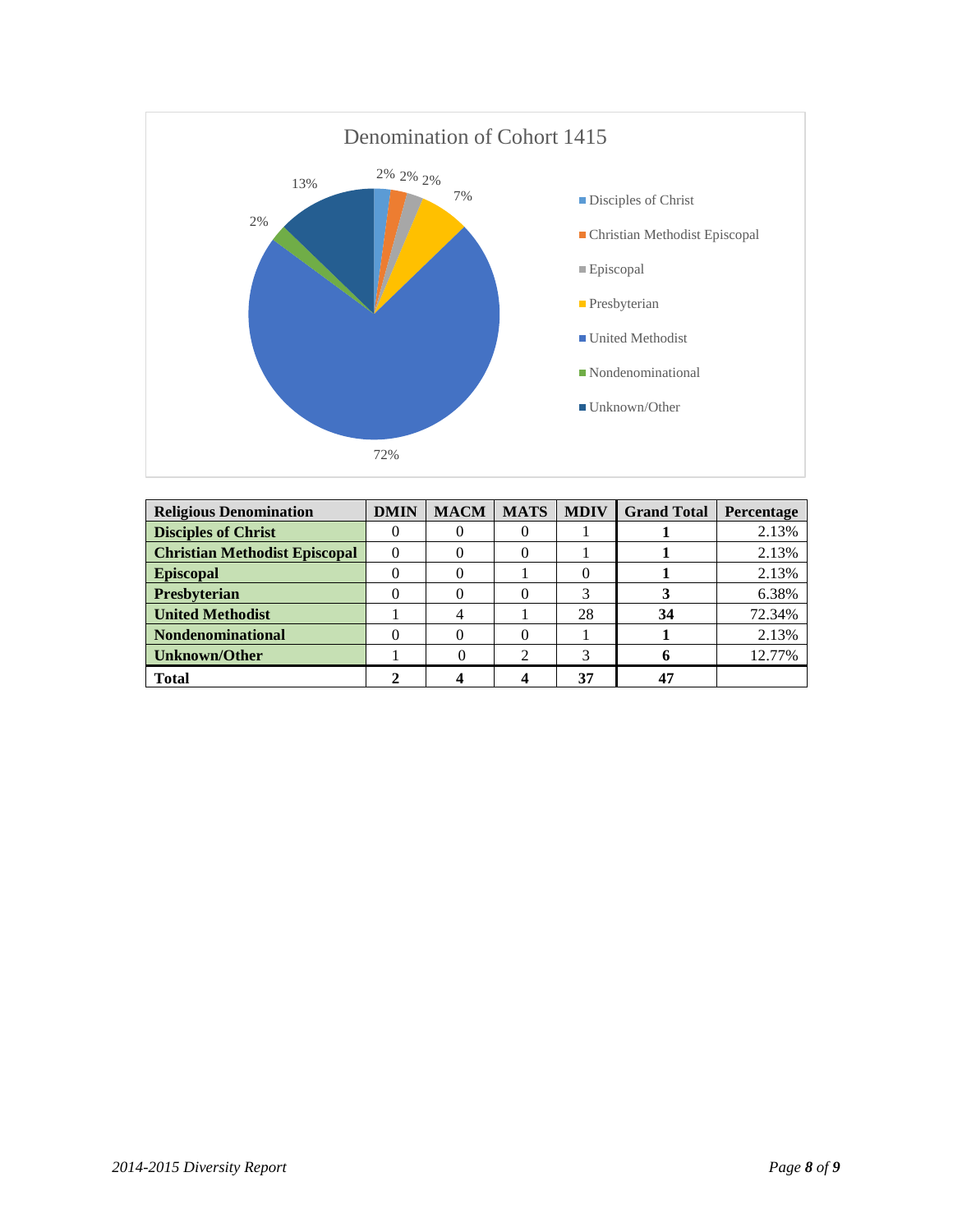

| <b>Religious Denomination</b>        | <b>DMIN</b> | <b>MACM</b> | <b>MATS</b> | <b>MDIV</b> | <b>Grand Total</b> | Percentage |
|--------------------------------------|-------------|-------------|-------------|-------------|--------------------|------------|
| <b>Disciples of Christ</b>           |             |             |             |             |                    | 2.13%      |
| <b>Christian Methodist Episcopal</b> |             |             |             |             |                    | 2.13%      |
| <b>Episcopal</b>                     |             |             |             |             |                    | 2.13%      |
| <b>Presbyterian</b>                  |             |             |             |             |                    | 6.38%      |
| <b>United Methodist</b>              |             |             |             | 28          | 34                 | 72.34%     |
| Nondenominational                    |             |             |             |             |                    | 2.13%      |
| <b>Unknown/Other</b>                 |             |             |             |             |                    | 12.77%     |
| <b>Total</b>                         |             |             |             | 37          | 47                 |            |